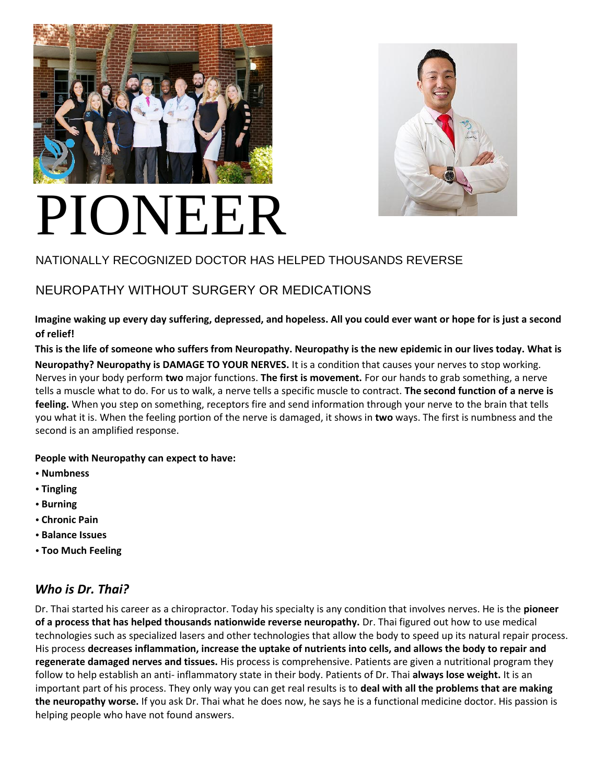



# PIONEER

# NATIONALLY RECOGNIZED DOCTOR HAS HELPED THOUSANDS REVERSE

# NEUROPATHY WITHOUT SURGERY OR MEDICATIONS

**Imagine waking up every day suffering, depressed, and hopeless. All you could ever want or hope for is just a second of relief!** 

**This is the life of someone who suffers from Neuropathy. Neuropathy is the new epidemic in our lives today. What is Neuropathy? Neuropathy is DAMAGE TO YOUR NERVES.** It is a condition that causes your nerves to stop working. Nerves in your body perform **two** major functions. **The first is movement.** For our hands to grab something, a nerve tells a muscle what to do. For us to walk, a nerve tells a specific muscle to contract. **The second function of a nerve is feeling.** When you step on something, receptors fire and send information through your nerve to the brain that tells you what it is. When the feeling portion of the nerve is damaged, it shows in **two** ways. The first is numbness and the second is an amplified response.

#### **People with Neuropathy can expect to have:**

- **• Numbness**
- **• Tingling**
- **• Burning**
- **• Chronic Pain**
- **• Balance Issues**
- **• Too Much Feeling**

# *Who is Dr. Thai?*

Dr. Thai started his career as a chiropractor. Today his specialty is any condition that involves nerves. He is the **pioneer of a process that has helped thousands nationwide reverse neuropathy.** Dr. Thai figured out how to use medical technologies such as specialized lasers and other technologies that allow the body to speed up its natural repair process. His process **decreases inflammation, increase the uptake of nutrients into cells, and allows the body to repair and regenerate damaged nerves and tissues.** His process is comprehensive. Patients are given a nutritional program they follow to help establish an anti- inflammatory state in their body. Patients of Dr. Thai **always lose weight.** It is an important part of his process. They only way you can get real results is to **deal with all the problems that are making the neuropathy worse.** If you ask Dr. Thai what he does now, he says he is a functional medicine doctor. His passion is helping people who have not found answers.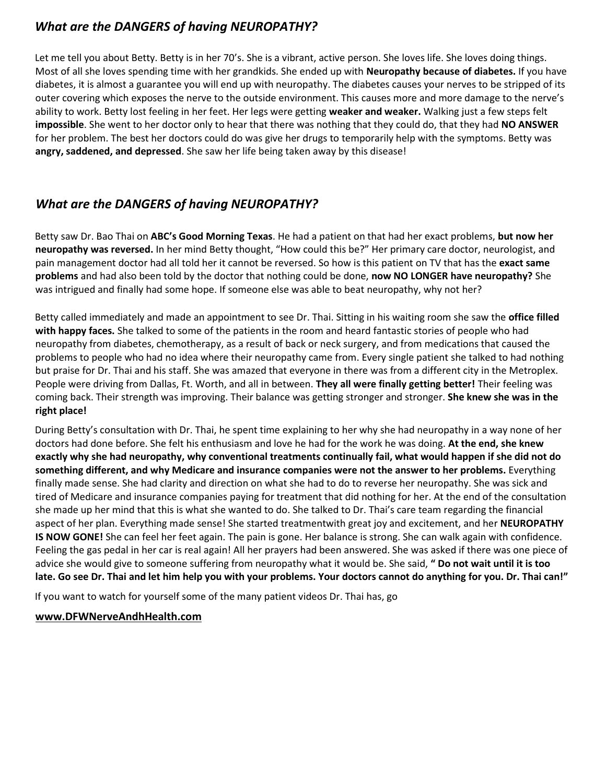## *What are the DANGERS of having NEUROPATHY?*

Let me tell you about Betty. Betty is in her 70's. She is a vibrant, active person. She loves life. She loves doing things. Most of all she loves spending time with her grandkids. She ended up with **Neuropathy because of diabetes.** If you have diabetes, it is almost a guarantee you will end up with neuropathy. The diabetes causes your nerves to be stripped of its outer covering which exposes the nerve to the outside environment. This causes more and more damage to the nerve's ability to work. Betty lost feeling in her feet. Her legs were getting **weaker and weaker.** Walking just a few steps felt **impossible**. She went to her doctor only to hear that there was nothing that they could do, that they had **NO ANSWER**  for her problem. The best her doctors could do was give her drugs to temporarily help with the symptoms. Betty was **angry, saddened, and depressed**. She saw her life being taken away by this disease!

## *What are the DANGERS of having NEUROPATHY?*

Betty saw Dr. Bao Thai on **ABC's Good Morning Texas**. He had a patient on that had her exact problems, **but now her neuropathy was reversed.** In her mind Betty thought, "How could this be?" Her primary care doctor, neurologist, and pain management doctor had all told her it cannot be reversed. So how is this patient on TV that has the **exact same problems** and had also been told by the doctor that nothing could be done, **now NO LONGER have neuropathy?** She was intrigued and finally had some hope. If someone else was able to beat neuropathy, why not her?

Betty called immediately and made an appointment to see Dr. Thai. Sitting in his waiting room she saw the **office filled with happy faces.** She talked to some of the patients in the room and heard fantastic stories of people who had neuropathy from diabetes, chemotherapy, as a result of back or neck surgery, and from medications that caused the problems to people who had no idea where their neuropathy came from. Every single patient she talked to had nothing but praise for Dr. Thai and his staff. She was amazed that everyone in there was from a different city in the Metroplex. People were driving from Dallas, Ft. Worth, and all in between. **They all were finally getting better!** Their feeling was coming back. Their strength was improving. Their balance was getting stronger and stronger. **She knew she was in the right place!** 

During Betty's consultation with Dr. Thai, he spent time explaining to her why she had neuropathy in a way none of her doctors had done before. She felt his enthusiasm and love he had for the work he was doing. **At the end, she knew exactly why she had neuropathy, why conventional treatments continually fail, what would happen if she did not do something different, and why Medicare and insurance companies were not the answer to her problems.** Everything finally made sense. She had clarity and direction on what she had to do to reverse her neuropathy. She was sick and tired of Medicare and insurance companies paying for treatment that did nothing for her. At the end of the consultation she made up her mind that this is what she wanted to do. She talked to Dr. Thai's care team regarding the financial aspect of her plan. Everything made sense! She started treatmentwith great joy and excitement, and her **NEUROPATHY IS NOW GONE!** She can feel her feet again. The pain is gone. Her balance is strong. She can walk again with confidence. Feeling the gas pedal in her car is real again! All her prayers had been answered. She was asked if there was one piece of advice she would give to someone suffering from neuropathy what it would be. She said, **" Do not wait until it is too late. Go see Dr. Thai and let him help you with your problems. Your doctors cannot do anything for you. Dr. Thai can!"**

If you want to watch for yourself some of the many patient videos Dr. Thai has, go

#### **www.DFWNerveAndhHealth.com**